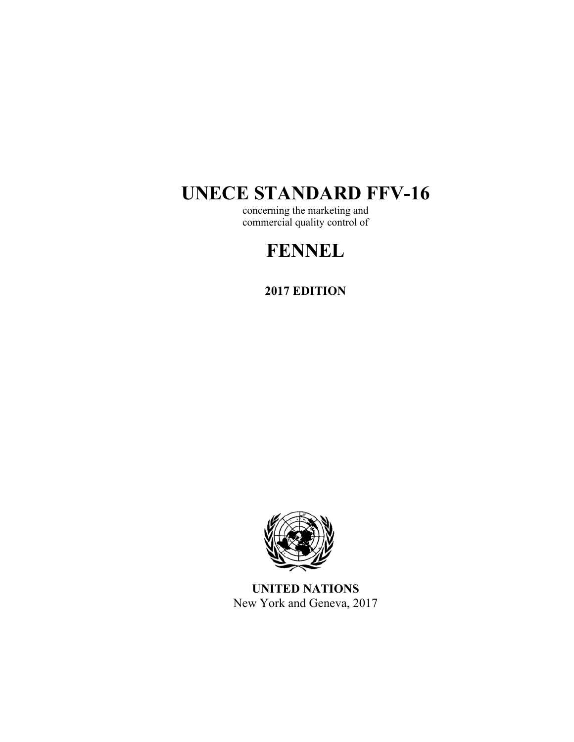# **UNECE STANDARD FFV-16**

concerning the marketing and commercial quality control of

# **FENNEL**

**2017 EDITION** 



**UNITED NATIONS**  New York and Geneva, 2017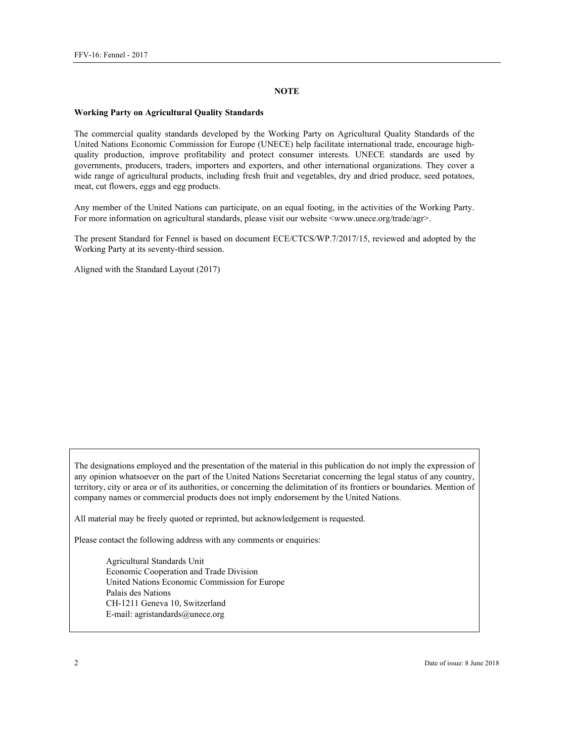#### **NOTE**

#### **Working Party on Agricultural Quality Standards**

The commercial quality standards developed by the Working Party on Agricultural Quality Standards of the United Nations Economic Commission for Europe (UNECE) help facilitate international trade, encourage highquality production, improve profitability and protect consumer interests. UNECE standards are used by governments, producers, traders, importers and exporters, and other international organizations. They cover a wide range of agricultural products, including fresh fruit and vegetables, dry and dried produce, seed potatoes, meat, cut flowers, eggs and egg products.

Any member of the United Nations can participate, on an equal footing, in the activities of the Working Party. For more information on agricultural standards, please visit our website <www.unece.org/trade/agr>.

The present Standard for Fennel is based on document ECE/CTCS/WP.7/2017/15, reviewed and adopted by the Working Party at its seventy-third session.

Aligned with the Standard Layout (2017)

The designations employed and the presentation of the material in this publication do not imply the expression of any opinion whatsoever on the part of the United Nations Secretariat concerning the legal status of any country, territory, city or area or of its authorities, or concerning the delimitation of its frontiers or boundaries. Mention of company names or commercial products does not imply endorsement by the United Nations.

All material may be freely quoted or reprinted, but acknowledgement is requested.

Please contact the following address with any comments or enquiries:

Agricultural Standards Unit Economic Cooperation and Trade Division United Nations Economic Commission for Europe Palais des Nations CH-1211 Geneva 10, Switzerland E-mail: agristandards@unece.org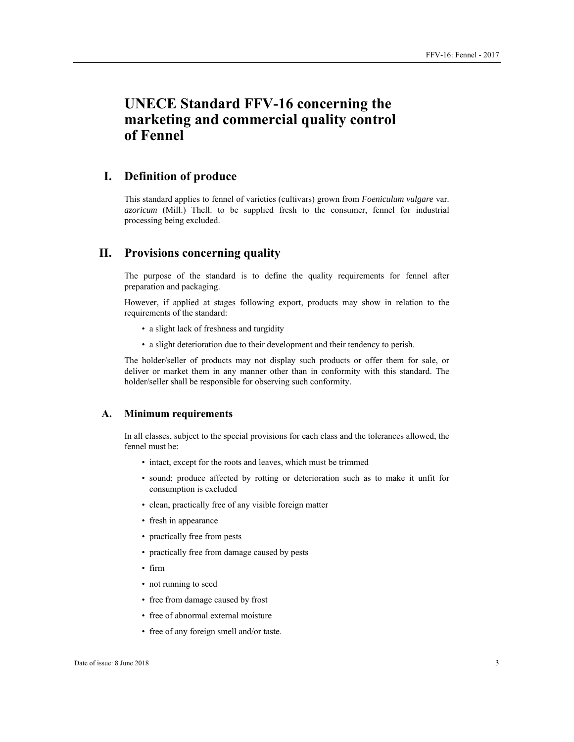# **UNECE Standard FFV-16 concerning the marketing and commercial quality control of Fennel**

# **I. Definition of produce**

This standard applies to fennel of varieties (cultivars) grown from *Foeniculum vulgare* var. *azoricum* (Mill.) Thell. to be supplied fresh to the consumer, fennel for industrial processing being excluded.

# **II. Provisions concerning quality**

The purpose of the standard is to define the quality requirements for fennel after preparation and packaging.

However, if applied at stages following export, products may show in relation to the requirements of the standard:

- a slight lack of freshness and turgidity
- a slight deterioration due to their development and their tendency to perish.

The holder/seller of products may not display such products or offer them for sale, or deliver or market them in any manner other than in conformity with this standard. The holder/seller shall be responsible for observing such conformity.

#### **A. Minimum requirements**

In all classes, subject to the special provisions for each class and the tolerances allowed, the fennel must be:

- intact, except for the roots and leaves, which must be trimmed
- sound; produce affected by rotting or deterioration such as to make it unfit for consumption is excluded
- clean, practically free of any visible foreign matter
- fresh in appearance
- practically free from pests
- practically free from damage caused by pests
- firm
- not running to seed
- free from damage caused by frost
- free of abnormal external moisture
- free of any foreign smell and/or taste.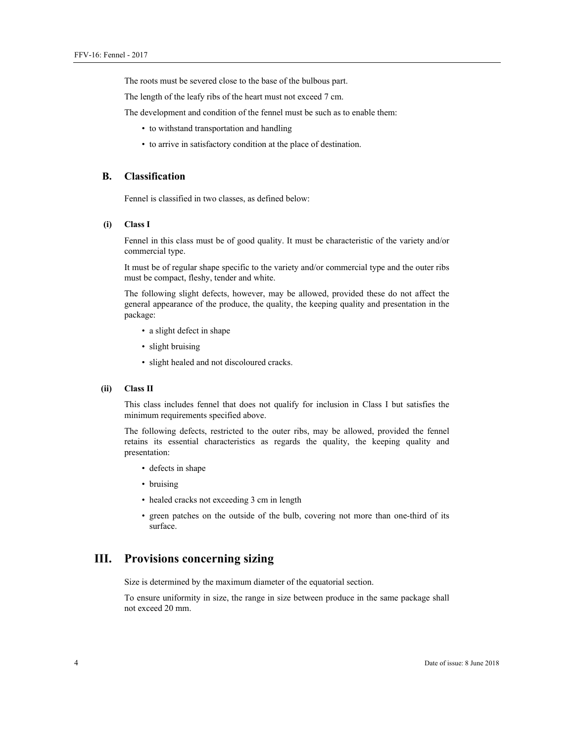The roots must be severed close to the base of the bulbous part.

The length of the leafy ribs of the heart must not exceed 7 cm.

The development and condition of the fennel must be such as to enable them:

- to withstand transportation and handling
- to arrive in satisfactory condition at the place of destination.

#### **B. Classification**

Fennel is classified in two classes, as defined below:

#### **(i) Class I**

Fennel in this class must be of good quality. It must be characteristic of the variety and/or commercial type.

It must be of regular shape specific to the variety and/or commercial type and the outer ribs must be compact, fleshy, tender and white.

The following slight defects, however, may be allowed, provided these do not affect the general appearance of the produce, the quality, the keeping quality and presentation in the package:

- a slight defect in shape
- slight bruising
- slight healed and not discoloured cracks.

#### **(ii) Class II**

This class includes fennel that does not qualify for inclusion in Class I but satisfies the minimum requirements specified above.

The following defects, restricted to the outer ribs, may be allowed, provided the fennel retains its essential characteristics as regards the quality, the keeping quality and presentation:

- defects in shape
- bruising
- healed cracks not exceeding 3 cm in length
- green patches on the outside of the bulb, covering not more than one-third of its surface.

## **III. Provisions concerning sizing**

Size is determined by the maximum diameter of the equatorial section.

To ensure uniformity in size, the range in size between produce in the same package shall not exceed 20 mm.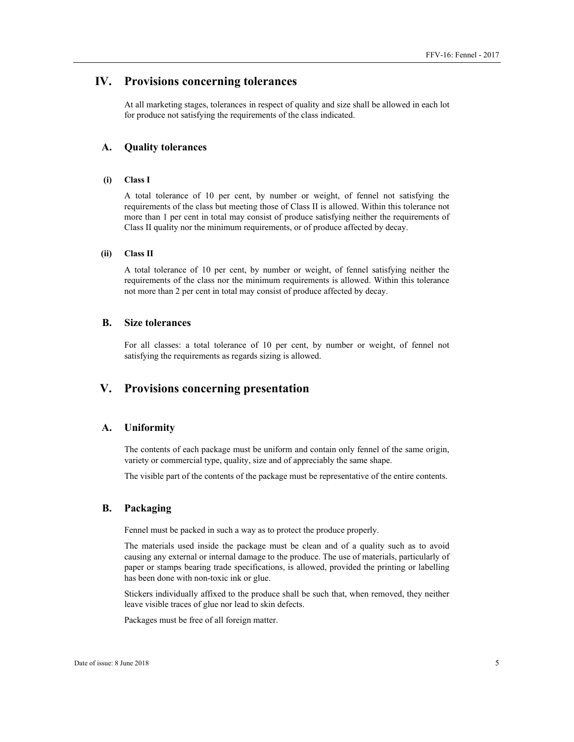### **IV. Provisions concerning tolerances**

At all marketing stages, tolerances in respect of quality and size shall be allowed in each lot for produce not satisfying the requirements of the class indicated.

#### **A. Quality tolerances**

#### **(i) Class I**

A total tolerance of 10 per cent, by number or weight, of fennel not satisfying the requirements of the class but meeting those of Class II is allowed. Within this tolerance not more than 1 per cent in total may consist of produce satisfying neither the requirements of Class II quality nor the minimum requirements, or of produce affected by decay.

#### **(ii) Class II**

A total tolerance of 10 per cent, by number or weight, of fennel satisfying neither the requirements of the class nor the minimum requirements is allowed. Within this tolerance not more than 2 per cent in total may consist of produce affected by decay.

#### **B. Size tolerances**

For all classes: a total tolerance of 10 per cent, by number or weight, of fennel not satisfying the requirements as regards sizing is allowed.

# **V. Provisions concerning presentation**

#### **A. Uniformity**

The contents of each package must be uniform and contain only fennel of the same origin, variety or commercial type, quality, size and of appreciably the same shape.

The visible part of the contents of the package must be representative of the entire contents.

#### **B. Packaging**

Fennel must be packed in such a way as to protect the produce properly.

The materials used inside the package must be clean and of a quality such as to avoid causing any external or internal damage to the produce. The use of materials, particularly of paper or stamps bearing trade specifications, is allowed, provided the printing or labelling has been done with non-toxic ink or glue.

Stickers individually affixed to the produce shall be such that, when removed, they neither leave visible traces of glue nor lead to skin defects.

Packages must be free of all foreign matter.